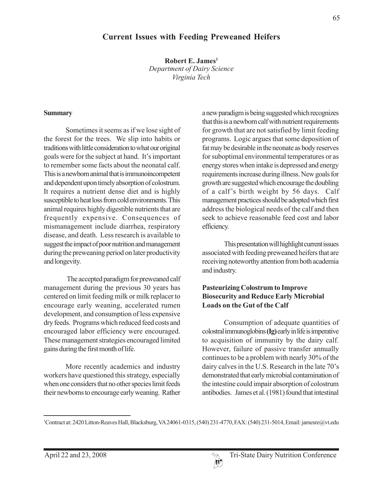# **Current Issues with Feeding Preweaned Heifers**

**Robert E. James**<sup>1</sup> *Department of Dairy Science Virginia Tech*

#### **Summary**

Sometimes it seems as if we lose sight of the forest for the trees. We slip into habits or traditions with little consideration to what our original goals were for the subject at hand. It's important to remember some facts about the neonatal calf. This is a newborn animal that is immunoincompetent and dependent upon timely absorption of colostrum. It requires a nutrient dense diet and is highly susceptible to heat loss from cold environments. This animal requires highly digestible nutrients that are frequently expensive. Consequences of mismanagement include diarrhea, respiratory disease, and death. Less research is available to suggest the impact of poor nutrition and management during the preweaning period on later productivity and longevity.

 The accepted paradigm for preweaned calf management during the previous 30 years has centered on limit feeding milk or milk replacer to encourage early weaning, accelerated rumen development, and consumption of less expensive dry feeds. Programs which reduced feed costs and encouraged labor efficiency were encouraged. These management strategies encouraged limited gains during the first month of life.

More recently academics and industry workers have questioned this strategy, especially when one considers that no other species limit feeds their newborns to encourage early weaning. Rather

a new paradigm is being suggested which recognizes that this is a newborn calf with nutrient requirements for growth that are not satisfied by limit feeding programs. Logic argues that some deposition of fat may be desirable in the neonate as body reserves for suboptimal environmental temperatures or as energy stores when intake is depressed and energy requirements increase during illness. New goals for growth are suggested which encourage the doubling of a calf's birth weight by 56 days. Calf management practices should be adopted which first address the biological needs of the calf and then seek to achieve reasonable feed cost and labor efficiency.

This presentation will highlight current issues associated with feeding preweaned heifers that are receiving noteworthy attention from both academia and industry.

#### **Pasteurizing Colostrum to Improve Biosecurity and Reduce Early Microbial Loads on the Gut of the Calf**

Consumption of adequate quantities of colostral immunoglobins **(Ig)** early in life is imperative to acquisition of immunity by the dairy calf. However, failure of passive transfer annually continues to be a problem with nearly 30% of the dairy calves in the U.S. Research in the late 70's demonstrated that early microbial contamination of the intestine could impair absorption of colostrum antibodies. James et al. (1981) found that intestinal

<sup>1</sup> Contract at: 2420 Litton-Reaves Hall, Blacksburg, VA 24061-0315, (540) 231-4770, FAX: (540) 231-5014, Email: jamesre@vt.edu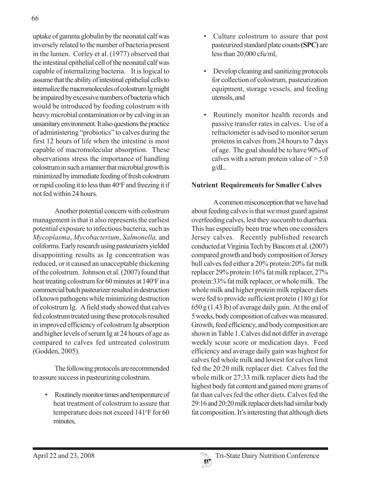uptake of gamma globulin by the neonatal calf was inversely related to the number of bacteria present in the lumen. Corley et al. (1977) observed that the intestinal epithelial cell of the neonatal calf was capable of internalizing bacteria. It is logical to assume that the ability of intestinal epithelial cells to internalize the macromolecules of colostrum Ig might be impaired by excessive numbers of bacteria which would be introduced by feeding colostrum with heavy microbial contamination or by calving in an unsanitary environment. It also questions the practice of administering "probiotics" to calves during the first 12 hours of life when the intestine is most capable of macromolecular absorption. These observations stress the importance of handling colostrum in such a manner that microbial growth is minimized by immediate feeding of fresh colostrum or rapid cooling it to less than 40°F and freezing it if not fed within 24 hours.

Another potential concern with colostrum management is that it also represents the earliest potential exposure to infectious bacteria, such as *Mycoplasma*, *Mycobacterium*, *Salmonella,* and coliforms. Early research using pasteurizers yielded disappointing results as Ig concentration was reduced, or it caused an unacceptable thickening of the colostrum. Johnson et al. (2007) found that heat treating colostrum for 60 minutes at 140°F in a commercial batch pasteurizer resulted in destruction of known pathogens while minimizing destruction of colostrum Ig. A field study showed that calves fed colostrum treated using these protocols resulted in improved efficiency of colostrum Ig absorption and higher levels of serum Ig at 24 hours of age as compared to calves fed untreated colostrum (Godden, 2005).

The following protocols are recommended to assure success in pasteurizing colostrum.

• Routinely monitor times and temperature of heat treatment of colostrum to assure that temperature does not exceed 141°F for 60 minutes,

- Culture colostrum to assure that post pasteurized standard plate counts **(SPC)** are less than 20,000 cfu/ml,
- Develop cleaning and sanitizing protocols for collection of colostrum, pasteurization equipment, storage vessels, and feeding utensils, and
- Routinely monitor health records and passive transfer rates in calves. Use of a refractometer is advised to monitor serum proteins in calves from 24 hours to 7 days of age. The goal should be to have 90% of calves with a serum protein value of  $> 5.0$ g/dL.

### **Nutrient Requirements for Smaller Calves**

A common misconception that we have had about feeding calves is that we must guard against overfeeding calves, lest they succumb to diarrhea. This has especially been true when one considers Jersey calves. Recently published research conducted at Virginia Tech by Bascom et al. (2007) compared growth and body composition of Jersey bull calves fed either a 20% protein:20% fat milk replacer 29% protein:16% fat milk replacer, 27% protein:33% fat milk replacer, or whole milk. The whole milk and higher protein milk replacer diets were fed to provide sufficient protein (180 g) for 650 g (1.43 lb) of average daily gain. At the end of 5 weeks, body composition of calves was measured. Growth, feed efficiency, and body composition are shown in Table 1. Calves did not differ in average weekly scour score or medication days. Feed efficiency and average daily gain was highest for calves fed whole milk and lowest for calves limit fed the 20:20 milk replacer diet. Calves fed the whole milk or 27:33 milk replacer diets had the highest body fat content and gained more grams of fat than calves fed the other diets. Calves fed the 29:16 and 20:20 milk replacer diets had similar body fat composition. It's interesting that although diets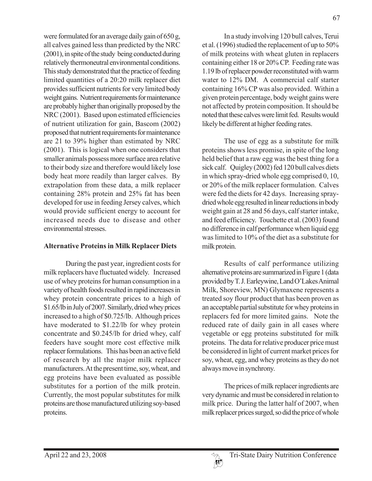were formulated for an average daily gain of 650 g, all calves gained less than predicted by the NRC (2001), in spite of the study being conducted during relatively thermoneutral environmental conditions. This study demonstrated that the practice of feeding limited quantities of a 20:20 milk replacer diet provides sufficient nutrients for very limited body weight gains. Nutrient requirements for maintenance are probably higher than originally proposed by the NRC (2001). Based upon estimated efficiencies of nutrient utilization for gain, Bascom (2002) proposed that nutrient requirements for maintenance are 21 to 39% higher than estimated by NRC (2001). This is logical when one considers that smaller animals possess more surface area relative to their body size and therefore would likely lose body heat more readily than larger calves. By extrapolation from these data, a milk replacer containing 28% protein and 25% fat has been developed for use in feeding Jersey calves, which would provide sufficient energy to account for increased needs due to disease and other environmental stresses.

### **Alternative Proteins in Milk Replacer Diets**

During the past year, ingredient costs for milk replacers have fluctuated widely. Increased use of whey proteins for human consumption in a variety of health foods resulted in rapid increases in whey protein concentrate prices to a high of \$1.65/lb in July of 2007. Similarly, dried whey prices increased to a high of \$0.725/lb. Although prices have moderated to \$1.22/lb for whey protein concentrate and \$0.245/lb for dried whey, calf feeders have sought more cost effective milk replacer formulations. This has been an active field of research by all the major milk replacer manufacturers. At the present time, soy, wheat, and egg proteins have been evaluated as possible substitutes for a portion of the milk protein. Currently, the most popular substitutes for milk proteins are those manufactured utilizing soy-based proteins.

In a study involving 120 bull calves, Terui et al. (1996) studied the replacement of up to 50% of milk proteins with wheat gluten in replacers containing either 18 or 20% CP. Feeding rate was 1.19 lb of replacer powder reconstituted with warm water to 12% DM. A commercial calf starter containing 16% CP was also provided. Within a given protein percentage, body weight gains were not affected by protein composition. It should be noted that these calves were limit fed. Results would likely be different at higher feeding rates.

The use of egg as a substitute for milk proteins shows less promise, in spite of the long held belief that a raw egg was the best thing for a sick calf. Quigley (2002) fed 120 bull calves diets in which spray-dried whole egg comprised 0, 10, or 20% of the milk replacer formulation. Calves were fed the diets for 42 days. Increasing spraydried whole egg resulted in linear reductions in body weight gain at 28 and 56 days, calf starter intake, and feed efficiency. Touchette et al. (2003) found no difference in calf performance when liquid egg was limited to 10% of the diet as a substitute for milk protein.

Results of calf performance utilizing alternative proteins are summarized in Figure 1 (data provided by T. J. Earleywine, Land O'Lakes Animal Milk, Shoreview, MN) Glymaxene represents a treated soy flour product that has been proven as an acceptable partial substitute for whey proteins in replacers fed for more limited gains. Note the reduced rate of daily gain in all cases where vegetable or egg proteins substituted for milk proteins. The data for relative producer price must be considered in light of current market prices for soy, wheat, egg, and whey proteins as they do not always move in synchrony.

The prices of milk replacer ingredients are very dynamic and must be considered in relation to milk price. During the latter half of 2007, when milk replacer prices surged, so did the price of whole

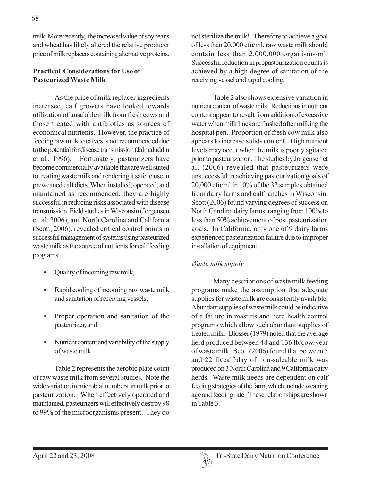milk. More recently, the increased value of soybeans and wheat has likely altered the relative producer price of milk replacers containing alternative proteins.

### **Practical Considerations for Use of Pasteurized Waste Milk**

As the price of milk replacer ingredients increased, calf growers have looked towards utilization of unsalable milk from fresh cows and those treated with antibiotics as sources of economical nutrients. However, the practice of feeding raw milk to calves is not recommended due to the potential for disease transmission (Jalmaluddin et al., 1996). Fortunately, pasteurizers have become commercially available that are well suited to treating waste milk and rendering it safe to use in preweaned calf diets. When installed, operated, and maintained as recommended, they are highly successful in reducing risks associated with disease transmission. Field studies in Wisconsin (Jorgensen et. al, 2006), and North Carolina and California (Scott, 2006), revealed critical control points in successful management of systems using pasteurized waste milk as the source of nutrients for calf feeding programs:

- Quality of incoming raw milk,
- Rapid cooling of incoming raw waste milk and sanitation of receiving vessels,
- Proper operation and sanitation of the pasteurizer, and
- Nutrient content and variability of the supply of waste milk.

Table 2 represents the aerobic plate count of raw waste milk from several studies. Note the wide variation in microbial numbers in milk prior to pasteurization. When effectively operated and maintained, pasteurizers will effectively destroy 98 to 99% of the microorganisms present. They do

not sterilize the milk! Therefore to achieve a goal of less than 20,000 cfu/ml, raw waste milk should contain less than 2,000,000 organisms/ml. Successful reduction in prepasteurization counts is achieved by a high degree of sanitation of the receiving vessel and rapid cooling.

Table 2 also shows extensive variation in nutrient content of waste milk. Reductions in nutrient content appear to result from addition of excessive water when milk lines are flushed after milking the hospital pen. Proportion of fresh cow milk also appears to increase solids content. High nutrient levels may occur when the milk is poorly agitated prior to pasteurization. The studies by Jorgensen et al. (2006) revealed that pasteurizers were unsuccessful in achieving pasteurization goals of 20,000 cfu/ml in 10% of the 32 samples obtained from dairy farms and calf ranches in Wisconsin. Scott (2006) found varying degrees of success on North Carolina dairy farms, ranging from 100% to less than 50% achievement of post pasteurization goals. In California, only one of 9 dairy farms experienced pasteurization failure due to improper installation of equipment.

## *Waste milk supply*

Many descriptions of waste milk feeding programs make the assumption that adequate supplies for waste milk are consistently available. Abundant supplies of waste milk could be indicative of a failure in mastitis and herd health control programs which allow such abundant supplies of treated milk. Blosser (1979) noted that the average herd produced between 48 and 136 lb/cow/year of waste milk. Scott (2006) found that between 5 and 22 lb/calf/day of non-saleable milk was produced on 3 North Carolina and 9 California dairy herds. Waste milk needs are dependent on calf feeding strategies of the farm, which include weaning age and feeding rate. These relationships are shown in Table 3.

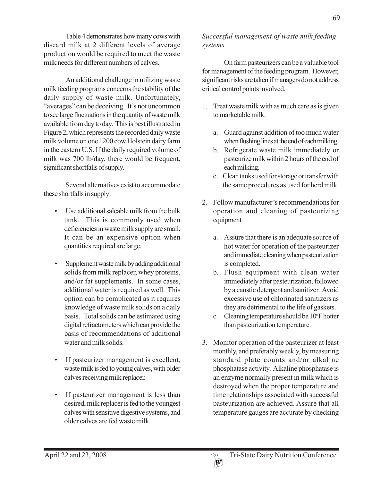Table 4 demonstrates how many cows with discard milk at 2 different levels of average production would be required to meet the waste milk needs for different numbers of calves.

An additional challenge in utilizing waste milk feeding programs concerns the stability of the daily supply of waste milk. Unfortunately, "averages" can be deceiving. It's not uncommon to see large fluctuations in the quantity of waste milk available from day to day. This is best illustrated in Figure 2, which represents the recorded daily waste milk volume on one 1200 cow Holstein dairy farm in the eastern U.S. If the daily required volume of milk was 700 lb/day, there would be frequent, significant shortfalls of supply.

Several alternatives exist to accommodate these shortfalls in supply:

- Use additional saleable milk from the bulk tank. This is commonly used when deficiencies in waste milk supply are small. It can be an expensive option when quantities required are large.
- Supplement waste milk by adding additional solids from milk replacer, whey proteins, and/or fat supplements. In some cases, additional water is required as well. This option can be complicated as it requires knowledge of waste milk solids on a daily basis. Total solids can be estimated using digital refractometers which can provide the basis of recommendations of additional water and milk solids.
- If pasteurizer management is excellent, waste milk is fed to young calves, with older calves receiving milk replacer.
- If pasteurizer management is less than desired, milk replacer is fed to the youngest calves with sensitive digestive systems, and older calves are fed waste milk.

*Successful management of waste milk feeding systems*

On farm pasteurizers can be a valuable tool for management of the feeding program. However, significant risks are taken if managers do not address critical control points involved.

- 1. Treat waste milk with as much care as is given to marketable milk.
	- a. Guard against addition of too much water when flushing lines at the end of each milking.
	- b. Refrigerate waste milk immediately or pasteurize milk within 2 hours of the end of each milking.
	- c. Clean tanks used for storage or transfer with the same procedures as used for herd milk.
- 2. Follow manufacturer's recommendations for operation and cleaning of pasteurizing equipment.
	- a. Assure that there is an adequate source of hot water for operation of the pasteurizer and immediate cleaning when pasteurization is completed.
	- b. Flush equipment with clean water immediately after pasteurization, followed by a caustic detergent and sanitizer. Avoid excessive use of chlorinated sanitizers as they are detrimental to the life of gaskets.
	- c. Cleaning temperature should be 10°F hotter than pasteurization temperature.
- 3. Monitor operation of the pasteurizer at least monthly, and preferably weekly, by measuring standard plate counts and/or alkaline phosphatase activity. Alkaline phosphatase is an enzyme normally present in milk which is destroyed when the proper temperature and time relationships associated with successful pasteurization are achieved. Assure that all temperature gauges are accurate by checking

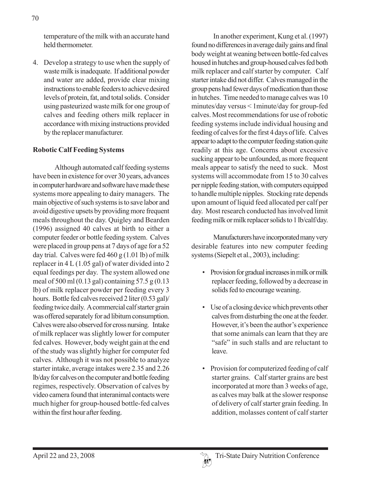4. Develop a strategy to use when the supply of waste milk is inadequate. If additional powder and water are added, provide clear mixing instructions to enable feeders to achieve desired levels of protein, fat, and total solids. Consider using pasteurized waste milk for one group of calves and feeding others milk replacer in accordance with mixing instructions provided by the replacer manufacturer.

### **Robotic Calf Feeding Systems**

Although automated calf feeding systems have been in existence for over 30 years, advances in computer hardware and software have made these systems more appealing to dairy managers. The main objective of such systems is to save labor and avoid digestive upsets by providing more frequent meals throughout the day. Quigley and Bearden (1996) assigned 40 calves at birth to either a computer feeder or bottle feeding system. Calves were placed in group pens at 7 days of age for a 52 day trial. Calves were fed  $460 g (1.01 lb)$  of milk replacer in 4 L (1.05 gal) of water divided into 2 equal feedings per day. The system allowed one meal of 500 ml (0.13 gal) containing 57.5 g (0.13 lb) of milk replacer powder per feeding every 3 hours. Bottle fed calves received 2 liter (0.53 gal)/ feeding twice daily. A commercial calf starter grain was offered separately for ad libitum consumption. Calves were also observed for cross nursing. Intake of milk replacer was slightly lower for computer fed calves. However, body weight gain at the end of the study was slightly higher for computer fed calves. Although it was not possible to analyze starter intake, average intakes were 2.35 and 2.26 lb/day for calves on the computer and bottle feeding regimes, respectively. Observation of calves by video camera found that interanimal contacts were much higher for group-housed bottle-fed calves within the first hour after feeding.

In another experiment, Kung et al. (1997) found no differences in average daily gains and final body weight at weaning between bottle-fed calves housed in hutches and group-housed calves fed both milk replacer and calf starter by computer. Calf starter intake did not differ. Calves managed in the group pens had fewer days of medication than those in hutches. Time needed to manage calves was 10 minutes/day versus < 1minute/day for group-fed calves. Most recommendations for use of robotic feeding systems include individual housing and feeding of calves for the first 4 days of life. Calves appear to adapt to the computer feeding station quite readily at this age. Concerns about excessive sucking appear to be unfounded, as more frequent meals appear to satisfy the need to suck. Most systems will accommodate from 15 to 30 calves per nipple feeding station, with computers equipped to handle multiple nipples. Stocking rate depends upon amount of liquid feed allocated per calf per day. Most research conducted has involved limit feeding milk or milk replacer solids to 1 lb/calf/day.

Manufacturers have incorporated many very desirable features into new computer feeding systems (Siepelt et al., 2003), including:

- Provision for gradual increases in milk or milk replacer feeding, followed by a decrease in solids fed to encourage weaning.
- Use of a closing device which prevents other calves from disturbing the one at the feeder. However, it's been the author's experience that some animals can learn that they are "safe" in such stalls and are reluctant to leave.
- Provision for computerized feeding of calf starter grains. Calf starter grains are best incorporated at more than 3 weeks of age, as calves may balk at the slower response of delivery of calf starter grain feeding. In addition, molasses content of calf starter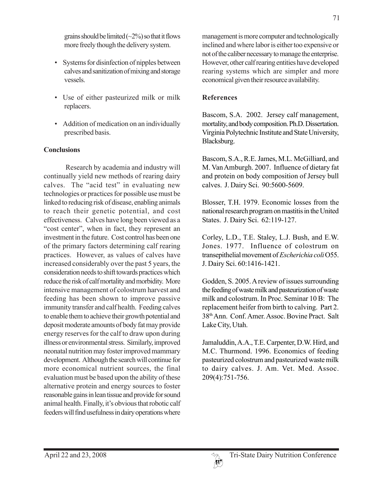grains should be limited  $(\sim 2\%)$  so that it flows more freely though the delivery system.

- Systems for disinfection of nipples between calves and sanitization of mixing and storage vessels.
- Use of either pasteurized milk or milk replacers.
- Addition of medication on an individually prescribed basis.

#### **Conclusions**

Research by academia and industry will continually yield new methods of rearing dairy calves. The "acid test" in evaluating new technologies or practices for possible use must be linked to reducing risk of disease, enabling animals to reach their genetic potential, and cost effectiveness. Calves have long been viewed as a "cost center", when in fact, they represent an investment in the future. Cost control has been one of the primary factors determining calf rearing practices. However, as values of calves have increased considerably over the past 5 years, the consideration needs to shift towards practices which reduce the risk of calf mortality and morbidity. More intensive management of colostrum harvest and feeding has been shown to improve passive immunity transfer and calf health. Feeding calves to enable them to achieve their growth potential and deposit moderate amounts of body fat may provide energy reserves for the calf to draw upon during illness or environmental stress. Similarly, improved neonatal nutrition may foster improved mammary development. Although the search will continue for more economical nutrient sources, the final evaluation must be based upon the ability of these alternative protein and energy sources to foster reasonable gains in lean tissue and provide for sound animal health. Finally, it's obvious that robotic calf feeders will find usefulness in dairy operations where

management is more computer and technologically inclined and where labor is either too expensive or not of the caliber necessary to manage the enterprise. However, other calf rearing entities have developed rearing systems which are simpler and more economical given their resource availability.

#### **References**

Bascom, S.A. 2002. Jersey calf management, mortality, and body composition. Ph.D. Dissertation. Virginia Polytechnic Institute and State University, Blacksburg.

Bascom, S.A., R.E. James, M.L. McGilliard, and M. Van Amburgh. 2007. Influence of dietary fat and protein on body composition of Jersey bull calves. J. Dairy Sci. 90:5600-5609.

Blosser, T.H. 1979. Economic losses from the national research program on mastitis in the United States. J. Dairy Sci. 62:119-127.

Corley, L.D., T.E. Staley, L.J. Bush, and E.W. Jones. 1977. Influence of colostrum on transepithelial movement of *Escherichia coli* O55. J. Dairy Sci. 60:1416-1421.

Godden, S. 2005. A review of issues surrounding the feeding of waste milk and pasteurization of waste milk and colostrum. In Proc. Seminar 10 B: The replacement heifer from birth to calving. Part 2. 38th Ann. Conf. Amer. Assoc. Bovine Pract. Salt Lake City, Utah.

Jamaluddin, A.A., T.E. Carpenter, D.W. Hird, and M.C. Thurmond. 1996. Economics of feeding pasteurized colostrum and pasteurized waste milk to dairy calves. J. Am. Vet. Med. Assoc. 209(4):751-756.

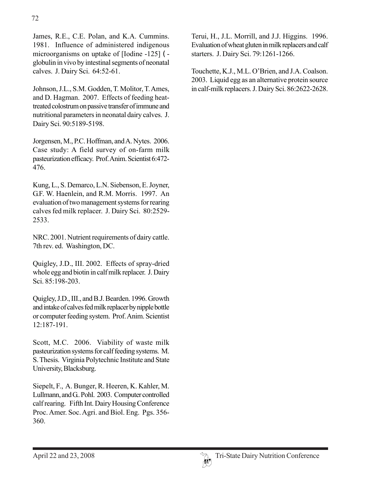James, R.E., C.E. Polan, and K.A. Cummins. 1981. Influence of administered indigenous microorganisms on uptake of [Iodine -125] ( globulin in vivo by intestinal segments of neonatal calves. J. Dairy Sci. 64:52-61.

Johnson, J.L., S.M. Godden, T. Molitor, T. Ames, and D. Hagman. 2007. Effects of feeding heattreated colostrum on passive transfer of immune and nutritional parameters in neonatal dairy calves. J. Dairy Sci. 90:5189-5198.

Jorgensen, M., P.C. Hoffman, and A. Nytes. 2006. Case study: A field survey of on-farm milk pasteurization efficacy. Prof. Anim. Scientist 6:472- 476.

Kung, L., S. Demarco, L.N. Siebenson, E. Joyner, G.F. W. Haenlein, and R.M. Morris. 1997. An evaluation of two management systems for rearing calves fed milk replacer. J. Dairy Sci. 80:2529- 2533.

NRC. 2001. Nutrient requirements of dairy cattle. 7th rev. ed. Washington, DC.

Quigley, J.D., III. 2002. Effects of spray-dried whole egg and biotin in calf milk replacer. J. Dairy Sci. 85:198-203.

Quigley, J.D., III., and B.J. Bearden. 1996. Growth and intake of calves fed milk replacer by nipple bottle or computer feeding system. Prof. Anim. Scientist 12:187-191.

Scott, M.C. 2006. Viability of waste milk pasteurization systems for calf feeding systems. M. S. Thesis. Virginia Polytechnic Institute and State University, Blacksburg.

Siepelt, F., A. Bunger, R. Heeren, K. Kahler, M. Lullmann, and G.. Pohl. 2003. Computer controlled calf rearing. Fifth Int. Dairy Housing Conference Proc. Amer. Soc. Agri. and Biol. Eng. Pgs. 356- 360.

Terui, H., J.L. Morrill, and J.J. Higgins. 1996. Evaluation of wheat gluten in milk replacers and calf starters. J. Dairy Sci. 79:1261-1266.

Touchette, K.J., M.L. O'Brien, and J.A. Coalson. 2003. Liquid egg as an alternative protein source in calf-milk replacers. J. Dairy Sci. 86:2622-2628.

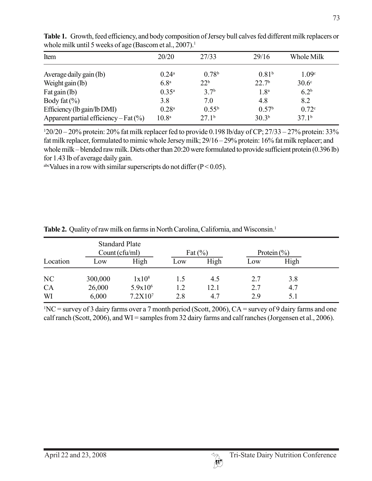| Item                                      | 20/20             | 27/33             | 29/16             | Whole Milk        |
|-------------------------------------------|-------------------|-------------------|-------------------|-------------------|
| Average daily gain (lb)                   | $0.24^{\rm a}$    | 0.78 <sup>b</sup> | 0.81 <sup>b</sup> | 1.09 <sup>c</sup> |
| Weight gain (lb)                          | 6.8 <sup>a</sup>  | 22 <sup>b</sup>   | 22.7 <sup>b</sup> | 30.6 <sup>c</sup> |
| Fat gain (lb)                             | $0.35^{\rm a}$    | 3.7 <sup>b</sup>  | 1.8 <sup>a</sup>  | 6.2 <sup>b</sup>  |
| Body fat $(\% )$                          | 3.8               | 7.0               | 4.8               | 8.2               |
| Efficiency (lb gain/lb DMI)               | 0.28 <sup>a</sup> | $0.55^{b}$        | 0.57 <sup>b</sup> | 0.72c             |
| Apparent partial efficiency – Fat $(\% )$ | 10.8 <sup>a</sup> | 27.1 <sup>b</sup> | 30.3 <sup>b</sup> | 37.1 <sup>b</sup> |

**Table 1.** Growth, feed efficiency, and body composition of Jersey bull calves fed different milk replacers or whole milk until 5 weeks of age (Bascom et al.,  $2007$ ).<sup>1</sup>

1 20/20 – 20% protein: 20% fat milk replacer fed to provide 0.198 lb/day of CP; 27/33 – 27% protein: 33% fat milk replacer, formulated to mimic whole Jersey milk; 29/16 – 29% protein: 16% fat milk replacer; and whole milk – blended raw milk. Diets other than 20:20 were formulated to provide sufficient protein (0.396 lb) for 1.43 lb of average daily gain.

<sup>abc</sup>Values in a row with similar superscripts do not differ ( $P < 0.05$ ).

|                | Count (cfu/ml)  | <b>Standard Plate</b>               |            | Fat $(\% )$ |            | Protein $(\% )$ |  |
|----------------|-----------------|-------------------------------------|------------|-------------|------------|-----------------|--|
| Location       | Low             | High                                | Low        | High        | Low        | High            |  |
| N <sub>C</sub> | 300,000         | 1x10 <sup>8</sup>                   | 1.5        | 4.5         | 2.7        | 3.8             |  |
| CA<br>WI       | 26,000<br>6,000 | $5.9x10^{6}$<br>7.2X10 <sup>7</sup> | 1.2<br>2.8 | 12.1<br>4.7 | 2.7<br>2.9 | 4.7<br>5.1      |  |

Table 2. Quality of raw milk on farms in North Carolina, California, and Wisconsin.<sup>1</sup>

1 NC = survey of 3 dairy farms over a 7 month period (Scott, 2006), CA = survey of 9 dairy farms and one calf ranch (Scott, 2006), and WI = samples from 32 dairy farms and calf ranches (Jorgensen et al., 2006).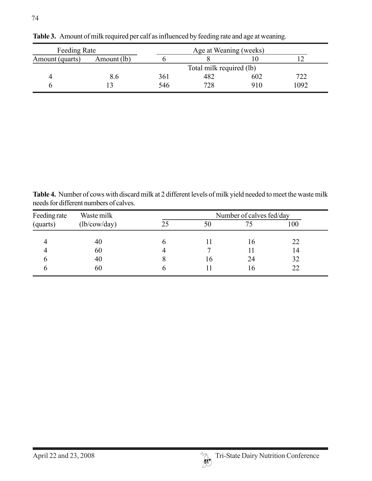| Feeding Rate    |             | Age at Weaning (weeks) |                          |     |      |  |
|-----------------|-------------|------------------------|--------------------------|-----|------|--|
| Amount (quarts) | Amount (lb) |                        |                          |     |      |  |
|                 |             |                        | Total milk required (lb) |     |      |  |
| 4               | 8.6         | 361                    | 482                      | 602 | 722  |  |
|                 |             | 546                    | 728                      | 910 | 1092 |  |

**Table 3.** Amount of milk required per calf as influenced by feeding rate and age at weaning.

**Table 4.** Number of cows with discard milk at 2 different levels of milk yield needed to meet the waste milk needs for different numbers of calves.

| Feeding rate | Waste milk   | Number of calves fed/day |    |    |     |  |  |
|--------------|--------------|--------------------------|----|----|-----|--|--|
| (quarts)     | (lb/cow/day) |                          | 50 |    | 100 |  |  |
|              | 40           |                          |    | 16 | 22  |  |  |
|              | 60           |                          |    |    | 14  |  |  |
|              | 40           |                          | 16 | 24 | 32  |  |  |
|              | 60           |                          |    | I6 | 22  |  |  |